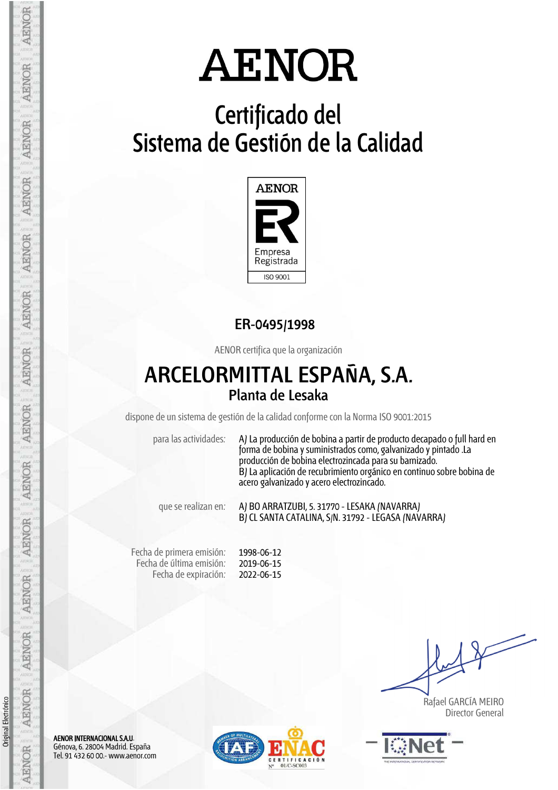## **Certificado del Sistema de Gestión de la Calidad**



## **ER-0495/1998**

AENOR certifica que la organización

## **ARCELORMITTAL ESPAÑA, S.A. Planta de Lesaka**

dispone de un sistema de gestión de la calidad conforme con la Norma ISO 9001:2015

para las actividades: A) La producción de bobina a partir de producto decapado o full hard en forma de bobina y suministrados como, galvanizado y pintado .La producción de bobina electrozincada para su barnizado. B) La aplicación de recubrimiento orgánico en continuo sobre bobina de acero galvanizado y acero electrozincado.

que se realizan en: A) BO ARRATZUBI, 5. 31770 - LESAKA (NAVARRA) B) CL SANTA CATALINA, S/N. 31792 - LEGASA (NAVARRA)

Fecha de primera emisión: Fecha de última emisión: Fecha de expiración: 1998-06-12 2019-06-15 2022-06-15

 Rafael GARCÍA MEIRO Director General



AENOR INTERNACIONAL S.A.U. Génova, 6. 28004 Madrid. España Tel. 91 432 60 00.- www.aenor.com



AENOR

AENOR

**AENOR** 

Original Electrónico

Original Electrónico